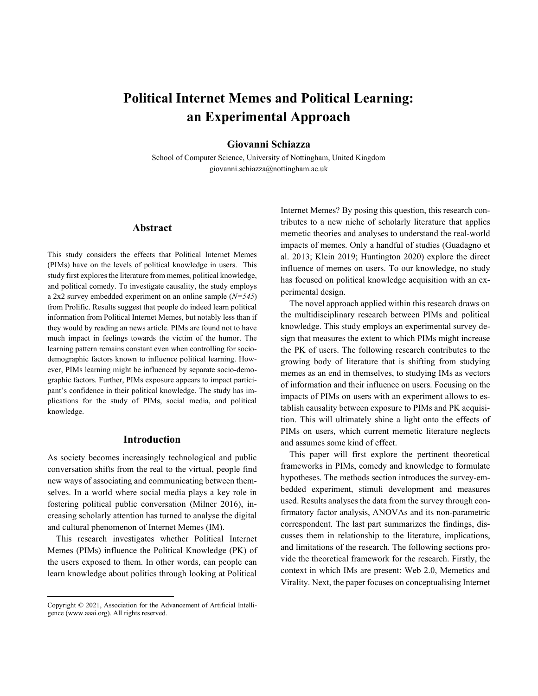# Political Internet Memes and Political Learning: an Experimental Approach

# Giovanni Schiazza

School of Computer Science, University of Nottingham, United Kingdom giovanni.schiazza@nottingham.ac.uk

# Abstract

This study considers the effects that Political Internet Memes (PIMs) have on the levels of political knowledge in users. This study first explores the literature from memes, political knowledge, and political comedy. To investigate causality, the study employs a 2x2 survey embedded experiment on an online sample  $(N=545)$ from Prolific. Results suggest that people do indeed learn political information from Political Internet Memes, but notably less than if they would by reading an news article. PIMs are found not to have much impact in feelings towards the victim of the humor. The learning pattern remains constant even when controlling for sociodemographic factors known to influence political learning. However, PIMs learning might be influenced by separate socio-demographic factors. Further, PIMs exposure appears to impact participant's confidence in their political knowledge. The study has implications for the study of PIMs, social media, and political knowledge.

# Introduction

As society becomes increasingly technological and public conversation shifts from the real to the virtual, people find new ways of associating and communicating between themselves. In a world where social media plays a key role in fostering political public conversation (Milner 2016), increasing scholarly attention has turned to analyse the digital and cultural phenomenon of Internet Memes (IM).

This research investigates whether Political Internet Memes (PIMs) influence the Political Knowledge (PK) of the users exposed to them. In other words, can people can learn knowledge about politics through looking at Political

Internet Memes? By posing this question, this research contributes to a new niche of scholarly literature that applies memetic theories and analyses to understand the real-world impacts of memes. Only a handful of studies (Guadagno et al. 2013; Klein 2019; Huntington 2020) explore the direct influence of memes on users. To our knowledge, no study has focused on political knowledge acquisition with an experimental design.

The novel approach applied within this research draws on the multidisciplinary research between PIMs and political knowledge. This study employs an experimental survey design that measures the extent to which PIMs might increase the PK of users. The following research contributes to the growing body of literature that is shifting from studying memes as an end in themselves, to studying IMs as vectors of information and their influence on users. Focusing on the impacts of PIMs on users with an experiment allows to establish causality between exposure to PIMs and PK acquisition. This will ultimately shine a light onto the effects of PIMs on users, which current memetic literature neglects and assumes some kind of effect.

This paper will first explore the pertinent theoretical frameworks in PIMs, comedy and knowledge to formulate hypotheses. The methods section introduces the survey-embedded experiment, stimuli development and measures used. Results analyses the data from the survey through confirmatory factor analysis, ANOVAs and its non-parametric correspondent. The last part summarizes the findings, discusses them in relationship to the literature, implications, and limitations of the research. The following sections provide the theoretical framework for the research. Firstly, the context in which IMs are present: Web 2.0, Memetics and Virality. Next, the paper focuses on conceptualising Internet

Copyright © 2021, Association for the Advancement of Artificial Intelligence (www.aaai.org). All rights reserved.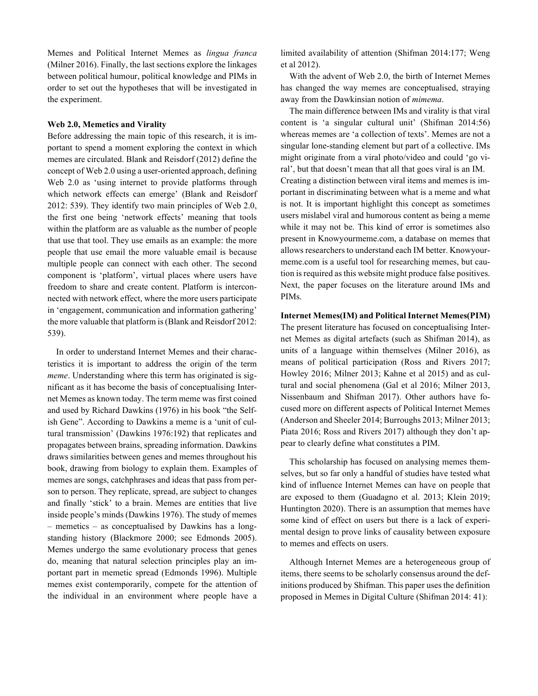Memes and Political Internet Memes as lingua franca (Milner 2016). Finally, the last sections explore the linkages between political humour, political knowledge and PIMs in order to set out the hypotheses that will be investigated in the experiment.

#### Web 2.0, Memetics and Virality

Before addressing the main topic of this research, it is important to spend a moment exploring the context in which memes are circulated. Blank and Reisdorf (2012) define the concept of Web 2.0 using a user-oriented approach, defining Web 2.0 as 'using internet to provide platforms through which network effects can emerge' (Blank and Reisdorf 2012: 539). They identify two main principles of Web 2.0, the first one being 'network effects' meaning that tools within the platform are as valuable as the number of people that use that tool. They use emails as an example: the more people that use email the more valuable email is because multiple people can connect with each other. The second component is 'platform', virtual places where users have freedom to share and create content. Platform is interconnected with network effect, where the more users participate in 'engagement, communication and information gathering' the more valuable that platform is (Blank and Reisdorf 2012: 539).

In order to understand Internet Memes and their characteristics it is important to address the origin of the term meme. Understanding where this term has originated is significant as it has become the basis of conceptualising Internet Memes as known today. The term meme was first coined and used by Richard Dawkins (1976) in his book "the Selfish Gene". According to Dawkins a meme is a 'unit of cultural transmission' (Dawkins 1976:192) that replicates and propagates between brains, spreading information. Dawkins draws similarities between genes and memes throughout his book, drawing from biology to explain them. Examples of memes are songs, catchphrases and ideas that pass from person to person. They replicate, spread, are subject to changes and finally 'stick' to a brain. Memes are entities that live inside people's minds (Dawkins 1976). The study of memes – memetics – as conceptualised by Dawkins has a longstanding history (Blackmore 2000; see Edmonds 2005). Memes undergo the same evolutionary process that genes do, meaning that natural selection principles play an important part in memetic spread (Edmonds 1996). Multiple memes exist contemporarily, compete for the attention of the individual in an environment where people have a

limited availability of attention (Shifman 2014:177; Weng et al 2012).

With the advent of Web 2.0, the birth of Internet Memes has changed the way memes are conceptualised, straying away from the Dawkinsian notion of mimema.

The main difference between IMs and virality is that viral content is 'a singular cultural unit' (Shifman 2014:56) whereas memes are 'a collection of texts'. Memes are not a singular lone-standing element but part of a collective. IMs might originate from a viral photo/video and could 'go viral', but that doesn't mean that all that goes viral is an IM. Creating a distinction between viral items and memes is important in discriminating between what is a meme and what is not. It is important highlight this concept as sometimes users mislabel viral and humorous content as being a meme while it may not be. This kind of error is sometimes also present in Knowyourmeme.com, a database on memes that allows researchers to understand each IM better. Knowyourmeme.com is a useful tool for researching memes, but caution is required as this website might produce false positives. Next, the paper focuses on the literature around IMs and PIMs.

#### Internet Memes(IM) and Political Internet Memes(PIM)

The present literature has focused on conceptualising Internet Memes as digital artefacts (such as Shifman 2014), as units of a language within themselves (Milner 2016), as means of political participation (Ross and Rivers 2017; Howley 2016; Milner 2013; Kahne et al 2015) and as cultural and social phenomena (Gal et al 2016; Milner 2013, Nissenbaum and Shifman 2017). Other authors have focused more on different aspects of Political Internet Memes (Anderson and Sheeler 2014; Burroughs 2013; Milner 2013; Piata 2016; Ross and Rivers 2017) although they don't appear to clearly define what constitutes a PIM.

This scholarship has focused on analysing memes themselves, but so far only a handful of studies have tested what kind of influence Internet Memes can have on people that are exposed to them (Guadagno et al. 2013; Klein 2019; Huntington 2020). There is an assumption that memes have some kind of effect on users but there is a lack of experimental design to prove links of causality between exposure to memes and effects on users.

Although Internet Memes are a heterogeneous group of items, there seems to be scholarly consensus around the definitions produced by Shifman. This paper uses the definition proposed in Memes in Digital Culture (Shifman 2014: 41):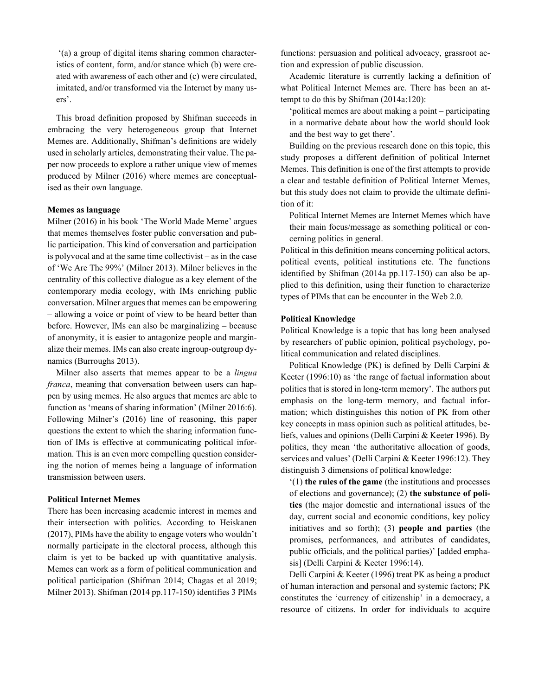'(a) a group of digital items sharing common characteristics of content, form, and/or stance which (b) were created with awareness of each other and (c) were circulated, imitated, and/or transformed via the Internet by many users'.

This broad definition proposed by Shifman succeeds in embracing the very heterogeneous group that Internet Memes are. Additionally, Shifman's definitions are widely used in scholarly articles, demonstrating their value. The paper now proceeds to explore a rather unique view of memes produced by Milner (2016) where memes are conceptualised as their own language.

#### Memes as language

Milner (2016) in his book 'The World Made Meme' argues that memes themselves foster public conversation and public participation. This kind of conversation and participation is polyvocal and at the same time collectivist – as in the case of 'We Are The 99%' (Milner 2013). Milner believes in the centrality of this collective dialogue as a key element of the contemporary media ecology, with IMs enriching public conversation. Milner argues that memes can be empowering – allowing a voice or point of view to be heard better than before. However, IMs can also be marginalizing – because of anonymity, it is easier to antagonize people and marginalize their memes. IMs can also create ingroup-outgroup dynamics (Burroughs 2013).

Milner also asserts that memes appear to be a lingua franca, meaning that conversation between users can happen by using memes. He also argues that memes are able to function as 'means of sharing information' (Milner 2016:6). Following Milner's (2016) line of reasoning, this paper questions the extent to which the sharing information function of IMs is effective at communicating political information. This is an even more compelling question considering the notion of memes being a language of information transmission between users.

# Political Internet Memes

There has been increasing academic interest in memes and their intersection with politics. According to Heiskanen (2017), PIMs have the ability to engage voters who wouldn't normally participate in the electoral process, although this claim is yet to be backed up with quantitative analysis. Memes can work as a form of political communication and political participation (Shifman 2014; Chagas et al 2019; Milner 2013). Shifman (2014 pp.117-150) identifies 3 PIMs

functions: persuasion and political advocacy, grassroot action and expression of public discussion.

Academic literature is currently lacking a definition of what Political Internet Memes are. There has been an attempt to do this by Shifman (2014a:120):

'political memes are about making a point – participating in a normative debate about how the world should look and the best way to get there'.

Building on the previous research done on this topic, this study proposes a different definition of political Internet Memes. This definition is one of the first attempts to provide a clear and testable definition of Political Internet Memes, but this study does not claim to provide the ultimate definition of it:

Political Internet Memes are Internet Memes which have their main focus/message as something political or concerning politics in general.

Political in this definition means concerning political actors, political events, political institutions etc. The functions identified by Shifman (2014a pp.117-150) can also be applied to this definition, using their function to characterize types of PIMs that can be encounter in the Web 2.0.

## Political Knowledge

Political Knowledge is a topic that has long been analysed by researchers of public opinion, political psychology, political communication and related disciplines.

Political Knowledge (PK) is defined by Delli Carpini & Keeter (1996:10) as 'the range of factual information about politics that is stored in long-term memory'. The authors put emphasis on the long-term memory, and factual information; which distinguishes this notion of PK from other key concepts in mass opinion such as political attitudes, beliefs, values and opinions (Delli Carpini & Keeter 1996). By politics, they mean 'the authoritative allocation of goods, services and values' (Delli Carpini & Keeter 1996:12). They distinguish 3 dimensions of political knowledge:

'(1) the rules of the game (the institutions and processes of elections and governance); (2) the substance of politics (the major domestic and international issues of the day, current social and economic conditions, key policy initiatives and so forth); (3) people and parties (the promises, performances, and attributes of candidates, public officials, and the political parties)' [added emphasis] (Delli Carpini & Keeter 1996:14).

Delli Carpini & Keeter (1996) treat PK as being a product of human interaction and personal and systemic factors; PK constitutes the 'currency of citizenship' in a democracy, a resource of citizens. In order for individuals to acquire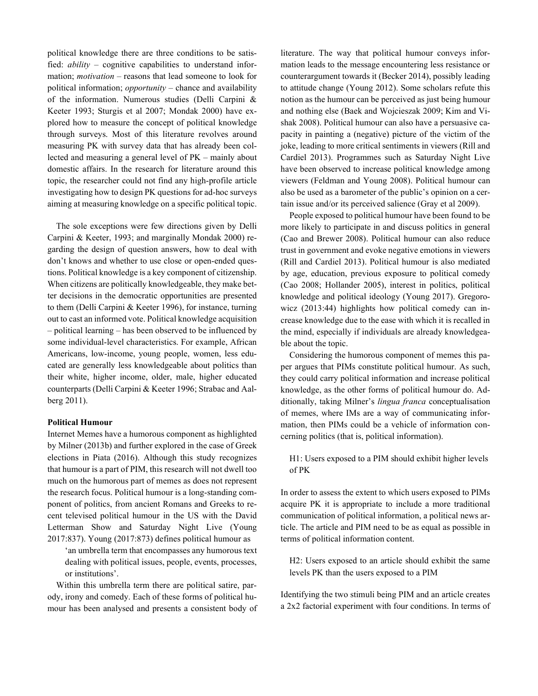political knowledge there are three conditions to be satisfied:  $ability$  – cognitive capabilities to understand information; *motivation* – reasons that lead someone to look for political information;  $\text{op}$  *ortunity* – chance and availability of the information. Numerous studies (Delli Carpini & Keeter 1993; Sturgis et al 2007; Mondak 2000) have explored how to measure the concept of political knowledge through surveys. Most of this literature revolves around measuring PK with survey data that has already been collected and measuring a general level of PK – mainly about domestic affairs. In the research for literature around this topic, the researcher could not find any high-profile article investigating how to design PK questions for ad-hoc surveys aiming at measuring knowledge on a specific political topic.

The sole exceptions were few directions given by Delli Carpini & Keeter, 1993; and marginally Mondak 2000) regarding the design of question answers, how to deal with don't knows and whether to use close or open-ended questions. Political knowledge is a key component of citizenship. When citizens are politically knowledgeable, they make better decisions in the democratic opportunities are presented to them (Delli Carpini & Keeter 1996), for instance, turning out to cast an informed vote. Political knowledge acquisition – political learning – has been observed to be influenced by some individual-level characteristics. For example, African Americans, low-income, young people, women, less educated are generally less knowledgeable about politics than their white, higher income, older, male, higher educated counterparts (Delli Carpini & Keeter 1996; Strabac and Aalberg 2011).

#### Political Humour

Internet Memes have a humorous component as highlighted by Milner (2013b) and further explored in the case of Greek elections in Piata (2016). Although this study recognizes that humour is a part of PIM, this research will not dwell too much on the humorous part of memes as does not represent the research focus. Political humour is a long-standing component of politics, from ancient Romans and Greeks to recent televised political humour in the US with the David Letterman Show and Saturday Night Live (Young 2017:837). Young (2017:873) defines political humour as

'an umbrella term that encompasses any humorous text dealing with political issues, people, events, processes, or institutions'.

Within this umbrella term there are political satire, parody, irony and comedy. Each of these forms of political humour has been analysed and presents a consistent body of literature. The way that political humour conveys information leads to the message encountering less resistance or counterargument towards it (Becker 2014), possibly leading to attitude change (Young 2012). Some scholars refute this notion as the humour can be perceived as just being humour and nothing else (Baek and Wojcieszak 2009; Kim and Vishak 2008). Political humour can also have a persuasive capacity in painting a (negative) picture of the victim of the joke, leading to more critical sentiments in viewers (Rill and Cardiel 2013). Programmes such as Saturday Night Live have been observed to increase political knowledge among viewers (Feldman and Young 2008). Political humour can also be used as a barometer of the public's opinion on a certain issue and/or its perceived salience (Gray et al 2009).

People exposed to political humour have been found to be more likely to participate in and discuss politics in general (Cao and Brewer 2008). Political humour can also reduce trust in government and evoke negative emotions in viewers (Rill and Cardiel 2013). Political humour is also mediated by age, education, previous exposure to political comedy (Cao 2008; Hollander 2005), interest in politics, political knowledge and political ideology (Young 2017). Gregorowicz (2013:44) highlights how political comedy can increase knowledge due to the ease with which it is recalled in the mind, especially if individuals are already knowledgeable about the topic.

Considering the humorous component of memes this paper argues that PIMs constitute political humour. As such, they could carry political information and increase political knowledge, as the other forms of political humour do. Additionally, taking Milner's *lingua franca* conceptualisation of memes, where IMs are a way of communicating information, then PIMs could be a vehicle of information concerning politics (that is, political information).

H1: Users exposed to a PIM should exhibit higher levels of PK

In order to assess the extent to which users exposed to PIMs acquire PK it is appropriate to include a more traditional communication of political information, a political news article. The article and PIM need to be as equal as possible in terms of political information content.

H2: Users exposed to an article should exhibit the same levels PK than the users exposed to a PIM

Identifying the two stimuli being PIM and an article creates a 2x2 factorial experiment with four conditions. In terms of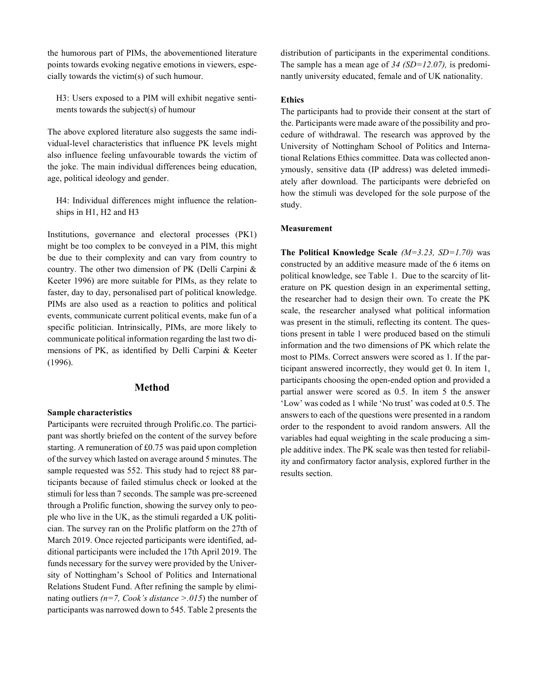the humorous part of PIMs, the abovementioned literature points towards evoking negative emotions in viewers, especially towards the victim(s) of such humour.

H3: Users exposed to a PIM will exhibit negative sentiments towards the subject(s) of humour

The above explored literature also suggests the same individual-level characteristics that influence PK levels might also influence feeling unfavourable towards the victim of the joke. The main individual differences being education, age, political ideology and gender.

H4: Individual differences might influence the relationships in H1, H2 and H3

Institutions, governance and electoral processes (PK1) might be too complex to be conveyed in a PIM, this might be due to their complexity and can vary from country to country. The other two dimension of PK (Delli Carpini & Keeter 1996) are more suitable for PIMs, as they relate to faster, day to day, personalised part of political knowledge. PIMs are also used as a reaction to politics and political events, communicate current political events, make fun of a specific politician. Intrinsically, PIMs, are more likely to communicate political information regarding the last two dimensions of PK, as identified by Delli Carpini & Keeter (1996).

# Method

#### Sample characteristics

Participants were recruited through Prolific.co. The participant was shortly briefed on the content of the survey before starting. A remuneration of £0.75 was paid upon completion of the survey which lasted on average around 5 minutes. The sample requested was 552. This study had to reject 88 participants because of failed stimulus check or looked at the stimuli for less than 7 seconds. The sample was pre-screened through a Prolific function, showing the survey only to people who live in the UK, as the stimuli regarded a UK politician. The survey ran on the Prolific platform on the 27th of March 2019. Once rejected participants were identified, additional participants were included the 17th April 2019. The funds necessary for the survey were provided by the University of Nottingham's School of Politics and International Relations Student Fund. After refining the sample by eliminating outliers ( $n=7$ , Cook's distance >.015) the number of participants was narrowed down to 545. Table 2 presents the

distribution of participants in the experimental conditions. The sample has a mean age of  $34$  (SD=12.07), is predominantly university educated, female and of UK nationality.

# Ethics

The participants had to provide their consent at the start of the. Participants were made aware of the possibility and procedure of withdrawal. The research was approved by the University of Nottingham School of Politics and International Relations Ethics committee. Data was collected anonymously, sensitive data (IP address) was deleted immediately after download. The participants were debriefed on how the stimuli was developed for the sole purpose of the study.

#### Measurement

The Political Knowledge Scale  $(M=3.23, SD=1.70)$  was constructed by an additive measure made of the 6 items on political knowledge, see Table 1. Due to the scarcity of literature on PK question design in an experimental setting, the researcher had to design their own. To create the PK scale, the researcher analysed what political information was present in the stimuli, reflecting its content. The questions present in table 1 were produced based on the stimuli information and the two dimensions of PK which relate the most to PIMs. Correct answers were scored as 1. If the participant answered incorrectly, they would get 0. In item 1, participants choosing the open-ended option and provided a partial answer were scored as 0.5. In item 5 the answer 'Low' was coded as 1 while 'No trust' was coded at 0.5. The answers to each of the questions were presented in a random order to the respondent to avoid random answers. All the variables had equal weighting in the scale producing a simple additive index. The PK scale was then tested for reliability and confirmatory factor analysis, explored further in the results section.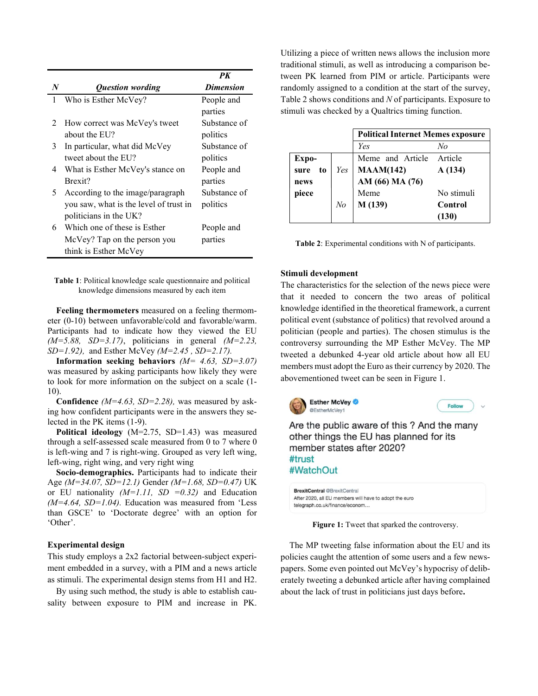|   |                                        | $\overline{P}K$  |
|---|----------------------------------------|------------------|
| N | <b>Question wording</b>                | <b>Dimension</b> |
| 1 | Who is Esther McVey?                   | People and       |
|   |                                        | parties          |
| 2 | How correct was McVey's tweet          | Substance of     |
|   | about the EU?                          | politics         |
| 3 | In particular, what did McVey          | Substance of     |
|   | tweet about the EU?                    | politics         |
| 4 | What is Esther McVey's stance on       | People and       |
|   | Brexit?                                | parties          |
| 5 | According to the image/paragraph       | Substance of     |
|   | you saw, what is the level of trust in | politics         |
|   | politicians in the UK?                 |                  |
| 6 | Which one of these is Esther           | People and       |
|   | McVey? Tap on the person you           | parties          |
|   | think is Esther McVey                  |                  |

Table 1: Political knowledge scale questionnaire and political knowledge dimensions measured by each item

Feeling thermometers measured on a feeling thermometer (0-10) between unfavorable/cold and favorable/warm. Participants had to indicate how they viewed the EU  $(M=5.88, SD=3.17)$ , politicians in general  $(M=2.23,$  $SD=1.92$ ), and Esther McVey ( $M=2.45$ ,  $SD=2.17$ ).

Information seeking behaviors  $(M= 4.63, SD=3.07)$ was measured by asking participants how likely they were to look for more information on the subject on a scale (1- 10).

**Confidence** ( $M=4.63$ ,  $SD=2.28$ ), was measured by asking how confident participants were in the answers they selected in the PK items (1-9).

Political ideology (M=2.75, SD=1.43) was measured through a self-assessed scale measured from 0 to 7 where 0 is left-wing and 7 is right-wing. Grouped as very left wing, left-wing, right wing, and very right wing

Socio-demographics. Participants had to indicate their Age ( $M=34.07$ ,  $SD=12.1$ ) Gender ( $M=1.68$ ,  $SD=0.47$ ) UK or EU nationality  $(M=1.11, SD = 0.32)$  and Education  $(M=4.64, SD=1.04)$ . Education was measured from 'Less than GSCE' to 'Doctorate degree' with an option for 'Other'.

# Experimental design

This study employs a 2x2 factorial between-subject experiment embedded in a survey, with a PIM and a news article as stimuli. The experimental design stems from H1 and H2.

By using such method, the study is able to establish causality between exposure to PIM and increase in PK. Utilizing a piece of written news allows the inclusion more traditional stimuli, as well as introducing a comparison between PK learned from PIM or article. Participants were randomly assigned to a condition at the start of the survey, Table 2 shows conditions and N of participants. Exposure to stimuli was checked by a Qualtrics timing function.

|            |     | <b>Political Internet Memes exposure</b> |            |
|------------|-----|------------------------------------------|------------|
|            |     | Yes                                      | No         |
| Expo-      |     | Meme and Article                         | Article    |
| sure<br>to | Yes | MAAM(142)                                | A(134)     |
| news       |     | AM (66) MA (76)                          |            |
| piece      |     | Meme                                     | No stimuli |
|            | No  | M(139)                                   | Control    |
|            |     |                                          | (130)      |

Table 2: Experimental conditions with N of participants.

#### Stimuli development

The characteristics for the selection of the news piece were that it needed to concern the two areas of political knowledge identified in the theoretical framework, a current political event (substance of politics) that revolved around a politician (people and parties). The chosen stimulus is the controversy surrounding the MP Esther McVey. The MP tweeted a debunked 4-year old article about how all EU members must adopt the Euro as their currency by 2020. The abovementioned tweet can be seen in Figure 1.



member states after 2020? #trust #WatchOut

**BrexitCentral @BrexitCentral** After 2020, all EU members will have to adopt the euro telegraph.co.uk/finance/econom..

Figure 1: Tweet that sparked the controversy.

The MP tweeting false information about the EU and its policies caught the attention of some users and a few newspapers. Some even pointed out McVey's hypocrisy of deliberately tweeting a debunked article after having complained about the lack of trust in politicians just days before.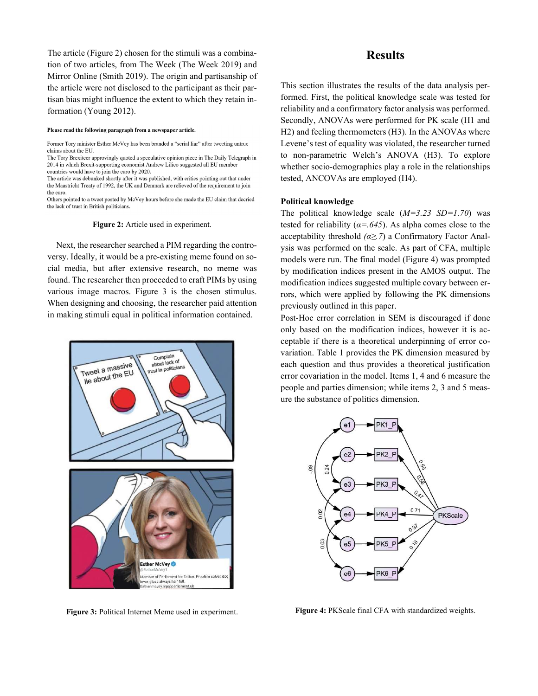The article (Figure 2) chosen for the stimuli was a combination of two articles, from The Week (The Week 2019) and Mirror Online (Smith 2019). The origin and partisanship of the article were not disclosed to the participant as their partisan bias might influence the extent to which they retain information (Young 2012).

#### Please read the following paragraph from a newspaper article.

Others pointed to a tweet posted by McVey hours before she made the EU claim that decried the lack of trust in British politicians

#### Figure 2: Article used in experiment.

Next, the researcher searched a PIM regarding the controversy. Ideally, it would be a pre-existing meme found on social media, but after extensive research, no meme was found. The researcher then proceeded to craft PIMs by using various image macros. Figure 3 is the chosen stimulus. When designing and choosing, the researcher paid attention in making stimuli equal in political information contained.



Figure 3: Political Internet Meme used in experiment.

# **Results**

This section illustrates the results of the data analysis performed. First, the political knowledge scale was tested for reliability and a confirmatory factor analysis was performed. Secondly, ANOVAs were performed for PK scale (H1 and H2) and feeling thermometers (H3). In the ANOVAs where Levene's test of equality was violated, the researcher turned to non-parametric Welch's ANOVA (H3). To explore whether socio-demographics play a role in the relationships tested, ANCOVAs are employed (H4).

#### Political knowledge

The political knowledge scale  $(M=3.23 \text{ SD} = 1.70)$  was tested for reliability ( $\alpha = .645$ ). As alpha comes close to the acceptability threshold  $(α≥7)$  a Confirmatory Factor Analysis was performed on the scale. As part of CFA, multiple models were run. The final model (Figure 4) was prompted by modification indices present in the AMOS output. The modification indices suggested multiple covary between errors, which were applied by following the PK dimensions previously outlined in this paper.

Post-Hoc error correlation in SEM is discouraged if done only based on the modification indices, however it is acceptable if there is a theoretical underpinning of error covariation. Table 1 provides the PK dimension measured by each question and thus provides a theoretical justification error covariation in the model. Items 1, 4 and 6 measure the people and parties dimension; while items 2, 3 and 5 measure the substance of politics dimension.



Figure 4: PKScale final CFA with standardized weights.

Former Tory minister Esther McVey has been branded a "serial liar" after tweeting untrue claims about the EU.

The Tory Brexiteer approvingly quoted a speculative opinion piece in The Daily Telegraph in 2014 in which Brexit-supporting economist Andrew Lilico suggested all EU member countries would have to join the euro by 2020.

The article was debunked shortly after it was published, with critics pointing out that under the Maastricht Treaty of 1992, the UK and Denmark are relieved of the requirement to join the euro.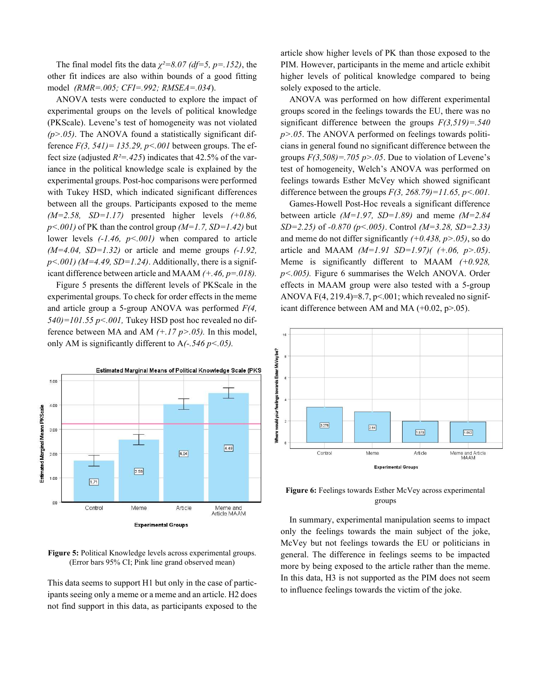The final model fits the data  $\chi^2 = 8.07$  (df=5, p=.152), the other fit indices are also within bounds of a good fitting model (RMR=.005; CFI=.992; RMSEA=.034).

ANOVA tests were conducted to explore the impact of experimental groups on the levels of political knowledge (PKScale). Levene's test of homogeneity was not violated  $(p>0.05)$ . The ANOVA found a statistically significant difference  $F(3, 541) = 135.29$ ,  $p \le 0.001$  between groups. The effect size (adjusted  $R^2 = 425$ ) indicates that 42.5% of the variance in the political knowledge scale is explained by the experimental groups. Post-hoc comparisons were performed with Tukey HSD, which indicated significant differences between all the groups. Participants exposed to the meme  $(M=2.58, SD=1.17)$  presented higher levels  $(+0.86,$  $p<.001$ ) of PK than the control group ( $M=1.7$ , SD=1.42) but lower levels  $(-1.46, p<0.001)$  when compared to article  $(M=4.04, SD=1.32)$  or article and meme groups  $(-1.92,$  $p<0.001$ ) (M=4.49, SD=1.24). Additionally, there is a significant difference between article and MAAM  $(+.46, p=.018)$ .

Figure 5 presents the different levels of PKScale in the experimental groups. To check for order effects in the meme and article group a 5-group ANOVA was performed  $F(4)$ ,  $540$ )= $101.55$  p<.001, Tukey HSD post hoc revealed no difference between MA and AM  $(+.17 \, p > .05)$ . In this model, only AM is significantly different to  $A(-.546 \, p<.05)$ .



Figure 5: Political Knowledge levels across experimental groups. (Error bars 95% CI; Pink line grand observed mean)

This data seems to support H1 but only in the case of participants seeing only a meme or a meme and an article. H2 does not find support in this data, as participants exposed to the

article show higher levels of PK than those exposed to the PIM. However, participants in the meme and article exhibit higher levels of political knowledge compared to being solely exposed to the article.

ANOVA was performed on how different experimental groups scored in the feelings towards the EU, there was no significant difference between the groups  $F(3,519)=540$  $p$  > 0.05. The ANOVA performed on feelings towards politicians in general found no significant difference between the groups  $F(3,508) = 705 \text{ p} > 0.05$ . Due to violation of Levene's test of homogeneity, Welch's ANOVA was performed on feelings towards Esther McVey which showed significant difference between the groups  $F(3, 268.79) = 11.65$ ,  $p < .001$ .

Games-Howell Post-Hoc reveals a significant difference between article  $(M=1.97, SD=1.89)$  and meme  $(M=2.84)$  $SD=2.25$ ) of -0.870 (p <.005). Control (M=3.28, SD=2.33) and meme do not differ significantly  $(+0.438, p > .05)$ , so do article and MAAM  $(M=1.91 \text{ SD}=1.97)$   $(+.06 \text{, } p>0.05)$ . Meme is significantly different to MAAM  $(+0.928,$  $p$ <.005). Figure 6 summarises the Welch ANOVA. Order effects in MAAM group were also tested with a 5-group ANOVA  $F(4, 219.4)=8.7$ ,  $p<001$ ; which revealed no significant difference between AM and MA (+0.02, p>.05).



Figure 6: Feelings towards Esther McVey across experimental groups

In summary, experimental manipulation seems to impact only the feelings towards the main subject of the joke, McVey but not feelings towards the EU or politicians in general. The difference in feelings seems to be impacted more by being exposed to the article rather than the meme. In this data, H3 is not supported as the PIM does not seem to influence feelings towards the victim of the joke.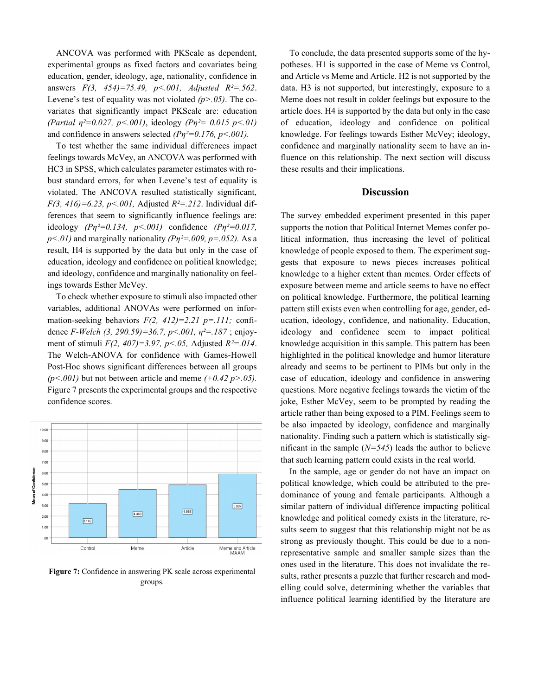ANCOVA was performed with PKScale as dependent, experimental groups as fixed factors and covariates being education, gender, ideology, age, nationality, confidence in answers  $F(3, 454)=75.49, p<.001,$  Adjusted  $R^2=.562$ . Levene's test of equality was not violated  $(p>0.05)$ . The covariates that significantly impact PKScale are: education (Partial  $\eta^2 = 0.027$ ,  $p < .001$ ), ideology (P $\eta^2 = 0.015$   $p < .01$ ) and confidence in answers selected  $(Ph^2=0.176, p<.001)$ .

To test whether the same individual differences impact feelings towards McVey, an ANCOVA was performed with HC3 in SPSS, which calculates parameter estimates with robust standard errors, for when Levene's test of equality is violated. The ANCOVA resulted statistically significant, F(3, 416)=6.23, p < 001, Adjusted  $R^2 = 212$ . Individual differences that seem to significantly influence feelings are: ideology  $(Ph^2=0.134, p<0.01)$  confidence  $(Ph^2=0.017,$  $p<0$  and marginally nationality ( $P\eta^2 = 0.009$ ,  $p = 0.052$ ). As a result, H4 is supported by the data but only in the case of education, ideology and confidence on political knowledge; and ideology, confidence and marginally nationality on feelings towards Esther McVey.

To check whether exposure to stimuli also impacted other variables, additional ANOVAs were performed on information-seeking behaviors  $F(2, 412)=2.21$  p=.111; confidence F-Welch (3, 290.59)=36.7,  $p < .001$ ,  $\eta^2 = .187$ ; enjoyment of stimuli  $F(2, 407)=3.97$ ,  $p<.05$ , Adjusted  $R<sup>2</sup>=.014$ . The Welch-ANOVA for confidence with Games-Howell Post-Hoc shows significant differences between all groups  $(p<.001)$  but not between article and meme  $(+0.42 \, p > .05)$ . Figure 7 presents the experimental groups and the respective confidence scores.



Figure 7: Confidence in answering PK scale across experimental groups.

To conclude, the data presented supports some of the hypotheses. H1 is supported in the case of Meme vs Control, and Article vs Meme and Article. H2 is not supported by the data. H3 is not supported, but interestingly, exposure to a Meme does not result in colder feelings but exposure to the article does. H4 is supported by the data but only in the case of education, ideology and confidence on political knowledge. For feelings towards Esther McVey; ideology, confidence and marginally nationality seem to have an influence on this relationship. The next section will discuss these results and their implications.

# **Discussion**

The survey embedded experiment presented in this paper supports the notion that Political Internet Memes confer political information, thus increasing the level of political knowledge of people exposed to them. The experiment suggests that exposure to news pieces increases political knowledge to a higher extent than memes. Order effects of exposure between meme and article seems to have no effect on political knowledge. Furthermore, the political learning pattern still exists even when controlling for age, gender, education, ideology, confidence, and nationality. Education, ideology and confidence seem to impact political knowledge acquisition in this sample. This pattern has been highlighted in the political knowledge and humor literature already and seems to be pertinent to PIMs but only in the case of education, ideology and confidence in answering questions. More negative feelings towards the victim of the joke, Esther McVey, seem to be prompted by reading the article rather than being exposed to a PIM. Feelings seem to be also impacted by ideology, confidence and marginally nationality. Finding such a pattern which is statistically significant in the sample  $(N=545)$  leads the author to believe that such learning pattern could exists in the real world.

In the sample, age or gender do not have an impact on political knowledge, which could be attributed to the predominance of young and female participants. Although a similar pattern of individual difference impacting political knowledge and political comedy exists in the literature, results seem to suggest that this relationship might not be as strong as previously thought. This could be due to a nonrepresentative sample and smaller sample sizes than the ones used in the literature. This does not invalidate the results, rather presents a puzzle that further research and modelling could solve, determining whether the variables that influence political learning identified by the literature are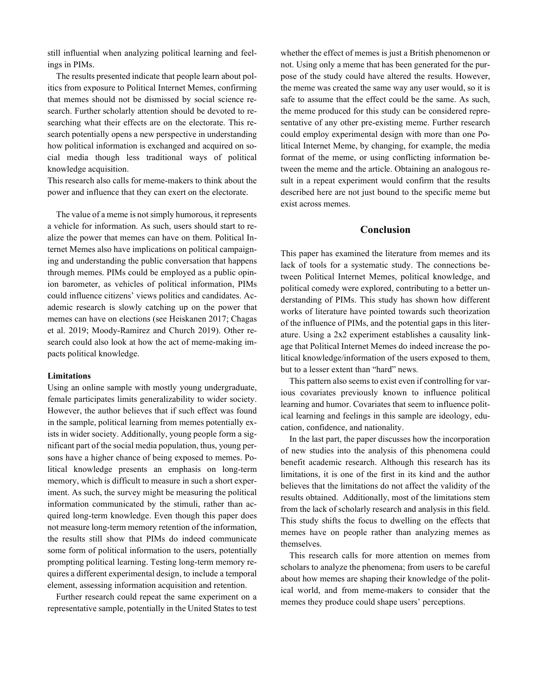still influential when analyzing political learning and feelings in PIMs.

The results presented indicate that people learn about politics from exposure to Political Internet Memes, confirming that memes should not be dismissed by social science research. Further scholarly attention should be devoted to researching what their effects are on the electorate. This research potentially opens a new perspective in understanding how political information is exchanged and acquired on social media though less traditional ways of political knowledge acquisition.

This research also calls for meme-makers to think about the power and influence that they can exert on the electorate.

The value of a meme is not simply humorous, it represents a vehicle for information. As such, users should start to realize the power that memes can have on them. Political Internet Memes also have implications on political campaigning and understanding the public conversation that happens through memes. PIMs could be employed as a public opinion barometer, as vehicles of political information, PIMs could influence citizens' views politics and candidates. Academic research is slowly catching up on the power that memes can have on elections (see Heiskanen 2017; Chagas et al. 2019; Moody-Ramirez and Church 2019). Other research could also look at how the act of meme-making impacts political knowledge.

# Limitations

Using an online sample with mostly young undergraduate, female participates limits generalizability to wider society. However, the author believes that if such effect was found in the sample, political learning from memes potentially exists in wider society. Additionally, young people form a significant part of the social media population, thus, young persons have a higher chance of being exposed to memes. Political knowledge presents an emphasis on long-term memory, which is difficult to measure in such a short experiment. As such, the survey might be measuring the political information communicated by the stimuli, rather than acquired long-term knowledge. Even though this paper does not measure long-term memory retention of the information, the results still show that PIMs do indeed communicate some form of political information to the users, potentially prompting political learning. Testing long-term memory requires a different experimental design, to include a temporal element, assessing information acquisition and retention.

Further research could repeat the same experiment on a representative sample, potentially in the United States to test

whether the effect of memes is just a British phenomenon or not. Using only a meme that has been generated for the purpose of the study could have altered the results. However, the meme was created the same way any user would, so it is safe to assume that the effect could be the same. As such, the meme produced for this study can be considered representative of any other pre-existing meme. Further research could employ experimental design with more than one Political Internet Meme, by changing, for example, the media format of the meme, or using conflicting information between the meme and the article. Obtaining an analogous result in a repeat experiment would confirm that the results described here are not just bound to the specific meme but exist across memes.

# Conclusion

This paper has examined the literature from memes and its lack of tools for a systematic study. The connections between Political Internet Memes, political knowledge, and political comedy were explored, contributing to a better understanding of PIMs. This study has shown how different works of literature have pointed towards such theorization of the influence of PIMs, and the potential gaps in this literature. Using a 2x2 experiment establishes a causality linkage that Political Internet Memes do indeed increase the political knowledge/information of the users exposed to them, but to a lesser extent than "hard" news.

This pattern also seems to exist even if controlling for various covariates previously known to influence political learning and humor. Covariates that seem to influence political learning and feelings in this sample are ideology, education, confidence, and nationality.

In the last part, the paper discusses how the incorporation of new studies into the analysis of this phenomena could benefit academic research. Although this research has its limitations, it is one of the first in its kind and the author believes that the limitations do not affect the validity of the results obtained. Additionally, most of the limitations stem from the lack of scholarly research and analysis in this field. This study shifts the focus to dwelling on the effects that memes have on people rather than analyzing memes as themselves.

This research calls for more attention on memes from scholars to analyze the phenomena; from users to be careful about how memes are shaping their knowledge of the political world, and from meme-makers to consider that the memes they produce could shape users' perceptions.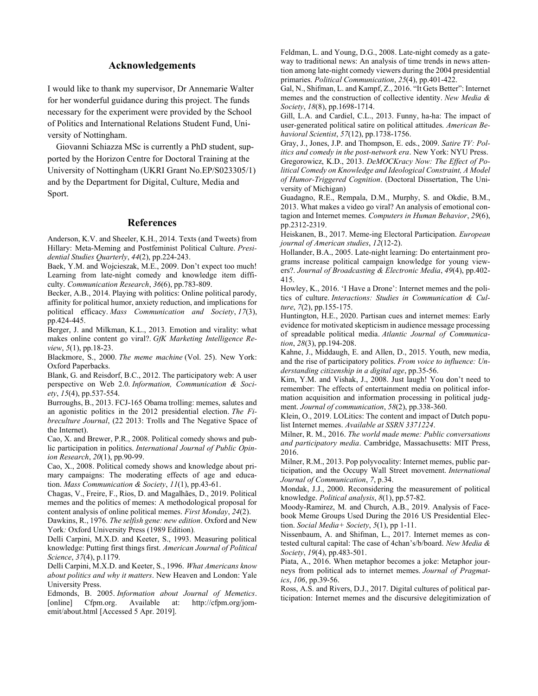# Acknowledgements

I would like to thank my supervisor, Dr Annemarie Walter for her wonderful guidance during this project. The funds necessary for the experiment were provided by the School of Politics and International Relations Student Fund, University of Nottingham.

Giovanni Schiazza MSc is currently a PhD student, supported by the Horizon Centre for Doctoral Training at the University of Nottingham (UKRI Grant No.EP/S023305/1) and by the Department for Digital, Culture, Media and Sport.

#### References

Anderson, K.V. and Sheeler, K.H., 2014. Texts (and Tweets) from Hillary: Meta‐Meming and Postfeminist Political Culture. Presidential Studies Quarterly, 44(2), pp.224-243.

Baek, Y.M. and Wojcieszak, M.E., 2009. Don't expect too much! Learning from late-night comedy and knowledge item difficulty. Communication Research, 36(6), pp.783-809.

Becker, A.B., 2014. Playing with politics: Online political parody, affinity for political humor, anxiety reduction, and implications for political efficacy. Mass Communication and Society, 17(3), pp.424-445.

Berger, J. and Milkman, K.L., 2013. Emotion and virality: what makes online content go viral?. GfK Marketing Intelligence Review, 5(1), pp.18-23.

Blackmore, S., 2000. The meme machine (Vol. 25). New York: Oxford Paperbacks.

Blank, G. and Reisdorf, B.C., 2012. The participatory web: A user perspective on Web 2.0. Information, Communication & Society, 15(4), pp.537-554.

Burroughs, B., 2013. FCJ-165 Obama trolling: memes, salutes and an agonistic politics in the 2012 presidential election. The Fibreculture Journal, (22 2013: Trolls and The Negative Space of the Internet).

Cao, X. and Brewer, P.R., 2008. Political comedy shows and public participation in politics. International Journal of Public Opinion Research, 20(1), pp.90-99.

Cao, X., 2008. Political comedy shows and knowledge about primary campaigns: The moderating effects of age and education. Mass Communication & Society, 11(1), pp.43-61.

Chagas, V., Freire, F., Rios, D. and Magalhães, D., 2019. Political memes and the politics of memes: A methodological proposal for content analysis of online political memes. First Monday, 24(2).

Dawkins, R., 1976. The selfish gene: new edition. Oxford and New York: Oxford University Press (1989 Edition).

Delli Carpini, M.X.D. and Keeter, S., 1993. Measuring political knowledge: Putting first things first. American Journal of Political Science, 37(4), p.1179.

Delli Carpini, M.X.D. and Keeter, S., 1996. What Americans know about politics and why it matters. New Heaven and London: Yale University Press.

Edmonds, B. 2005. Information about Journal of Memetics. [online] Cfpm.org. Available at: http://cfpm.org/jomemit/about.html [Accessed 5 Apr. 2019].

Feldman, L. and Young, D.G., 2008. Late-night comedy as a gateway to traditional news: An analysis of time trends in news attention among late-night comedy viewers during the 2004 presidential primaries. Political Communication, 25(4), pp.401-422.

Gal, N., Shifman, L. and Kampf, Z., 2016. "It Gets Better": Internet memes and the construction of collective identity. New Media & Society, 18(8), pp.1698-1714.

Gill, L.A. and Cardiel, C.L., 2013. Funny, ha-ha: The impact of user-generated political satire on political attitudes. American Behavioral Scientist, 57(12), pp.1738-1756.

Gray, J., Jones, J.P. and Thompson, E. eds., 2009. Satire TV: Politics and comedy in the post-network era. New York: NYU Press. Gregorowicz, K.D., 2013. DeMOCKracy Now: The Effect of Political Comedy on Knowledge and Ideological Constraint, A Model of Humor-Triggered Cognition. (Doctoral Dissertation, The University of Michigan)

Guadagno, R.E., Rempala, D.M., Murphy, S. and Okdie, B.M., 2013. What makes a video go viral? An analysis of emotional contagion and Internet memes. Computers in Human Behavior, 29(6), pp.2312-2319.

Heiskanen, B., 2017. Meme-ing Electoral Participation. European journal of American studies, 12(12-2).

Hollander, B.A., 2005. Late-night learning: Do entertainment programs increase political campaign knowledge for young viewers?. Journal of Broadcasting & Electronic Media, 49(4), pp.402- 415.

Howley, K., 2016. 'I Have a Drone': Internet memes and the politics of culture. Interactions: Studies in Communication & Culture, 7(2), pp.155-175.

Huntington, H.E., 2020. Partisan cues and internet memes: Early evidence for motivated skepticism in audience message processing of spreadable political media. Atlantic Journal of Communication, 28(3), pp.194-208.

Kahne, J., Middaugh, E. and Allen, D., 2015. Youth, new media, and the rise of participatory politics. From voice to influence: Understanding citizenship in a digital age, pp.35-56.

Kim, Y.M. and Vishak, J., 2008. Just laugh! You don't need to remember: The effects of entertainment media on political information acquisition and information processing in political judgment. Journal of communication, 58(2), pp.338-360.

Klein, O., 2019. LOLitics: The content and impact of Dutch populist Internet memes. Available at SSRN 3371224.

Milner, R. M., 2016. The world made meme: Public conversations and participatory media. Cambridge, Massachusetts: MIT Press, 2016.

Milner, R.M., 2013. Pop polyvocality: Internet memes, public participation, and the Occupy Wall Street movement. International Journal of Communication, 7, p.34.

Mondak, J.J., 2000. Reconsidering the measurement of political knowledge. Political analysis, 8(1), pp.57-82.

Moody-Ramirez, M. and Church, A.B., 2019. Analysis of Facebook Meme Groups Used During the 2016 US Presidential Election. Social Media + Society,  $5(1)$ , pp 1-11.

Nissenbaum, A. and Shifman, L., 2017. Internet memes as contested cultural capital: The case of 4chan's/b/board. New Media & Society, 19(4), pp.483-501.

Piata, A., 2016. When metaphor becomes a joke: Metaphor journeys from political ads to internet memes. Journal of Pragmatics, 106, pp.39-56.

Ross, A.S. and Rivers, D.J., 2017. Digital cultures of political participation: Internet memes and the discursive delegitimization of